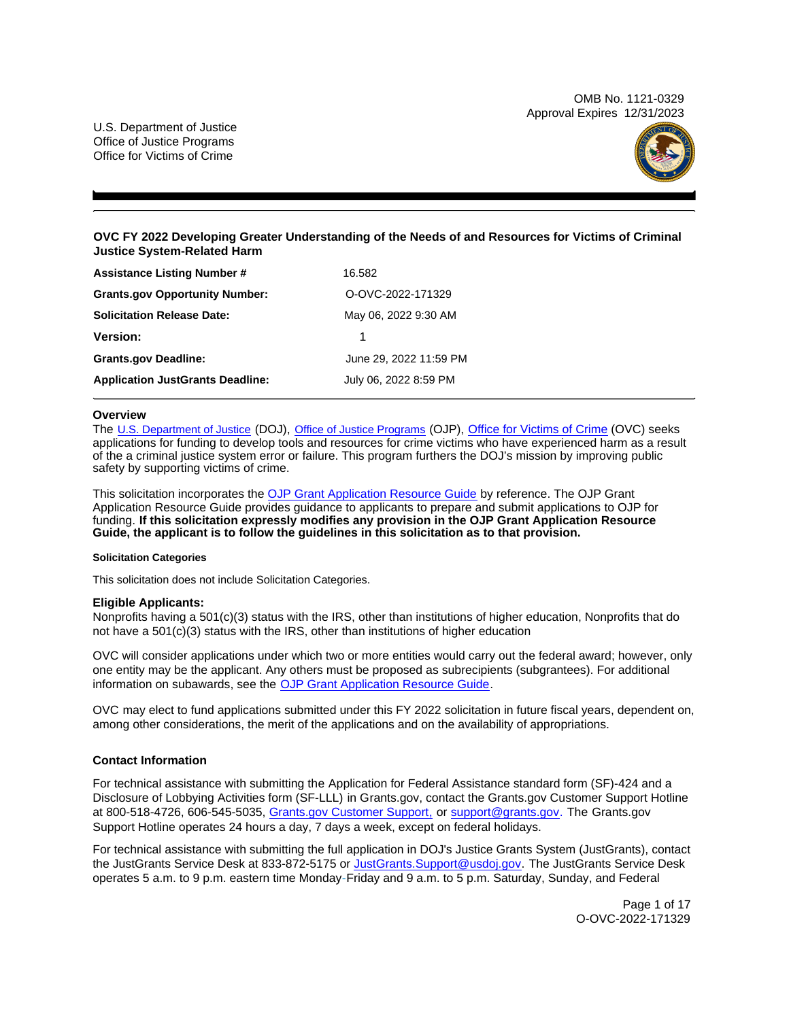OMB No. 1121-0329 Approval Expires 12/31/2023

<span id="page-0-0"></span>U.S. Department of Justice Office of Justice Programs Office for Victims of Crime



# **OVC FY 2022 Developing Greater Understanding of the Needs of and Resources for Victims of Criminal Justice System-Related Harm**

| <b>Assistance Listing Number #</b>      | 16.582                 |
|-----------------------------------------|------------------------|
| <b>Grants.gov Opportunity Number:</b>   | O-OVC-2022-171329      |
| <b>Solicitation Release Date:</b>       | May 06, 2022 9:30 AM   |
| <b>Version:</b>                         |                        |
| <b>Grants.gov Deadline:</b>             | June 29, 2022 11:59 PM |
| <b>Application JustGrants Deadline:</b> | July 06, 2022 8:59 PM  |

## **Overview**

The [U.S. Department of Justice](https://www.usdoj.gov/) (DOJ), [Office of Justice Programs](https://www.ojp.usdoj.gov/) (OJP), [Office for Victims of Crime](https://ovc.ojp.gov/) (OVC) seeks applications for funding to develop tools and resources for crime victims who have experienced harm as a result of the a criminal justice system error or failure. This program furthers the DOJ's mission by improving public safety by supporting victims of crime.

This solicitation incorporates the [OJP Grant Application Resource Guide](https://www.ojp.gov/funding/Apply/Resources/Grant-App-Resource-Guide.htm) by reference. The OJP Grant Application Resource Guide provides guidance to applicants to prepare and submit applications to OJP for funding. **If this solicitation expressly modifies any provision in the OJP Grant Application Resource Guide, the applicant is to follow the guidelines in this solicitation as to that provision.** 

#### **Solicitation Categories**

This solicitation does not include Solicitation Categories.

# **Eligible Applicants:**

Nonprofits having a 501(c)(3) status with the IRS, other than institutions of higher education, Nonprofits that do not have a 501(c)(3) status with the IRS, other than institutions of higher education

OVC will consider applications under which two or more entities would carry out the federal award; however, only one entity may be the applicant. Any others must be proposed as subrecipients (subgrantees). For additional information on subawards, see the [OJP Grant Application Resource Guide.](https://www.ojp.gov/funding/Apply/Resources/Grant-App-Resource-Guide.htm)

OVC may elect to fund applications submitted under this FY 2022 solicitation in future fiscal years, dependent on, among other considerations, the merit of the applications and on the availability of appropriations.

# **Contact Information**

For technical assistance with submitting the Application for Federal Assistance standard form (SF)-424 and a Disclosure of Lobbying Activities form (SF-LLL) in [Grants.gov](https://Grants.gov), contact the [Grants.gov](https://Grants.gov) Customer Support Hotline at 800-518-4726, 606-545-5035, [Grants.gov Customer Support,](https://www.grants.gov/web/grants/support.html) or [support@grants.gov.](mailto:support@grants.gov) The [Grants.gov](https://Grants.gov) Support Hotline operates 24 hours a day, 7 days a week, except on federal holidays.

For technical assistance with submitting the full application in DOJ's Justice Grants System (JustGrants), contact the JustGrants Service Desk at 833-872-5175 or [JustGrants.Support@usdoj.gov.](mailto:JustGrants.Support@usdoj.gov) The JustGrants Service Desk operates 5 a.m. to 9 p.m. eastern time Monday-Friday and 9 a.m. to 5 p.m. Saturday, Sunday, and Federal

> Page 1 of 17 O-OVC-2022-171329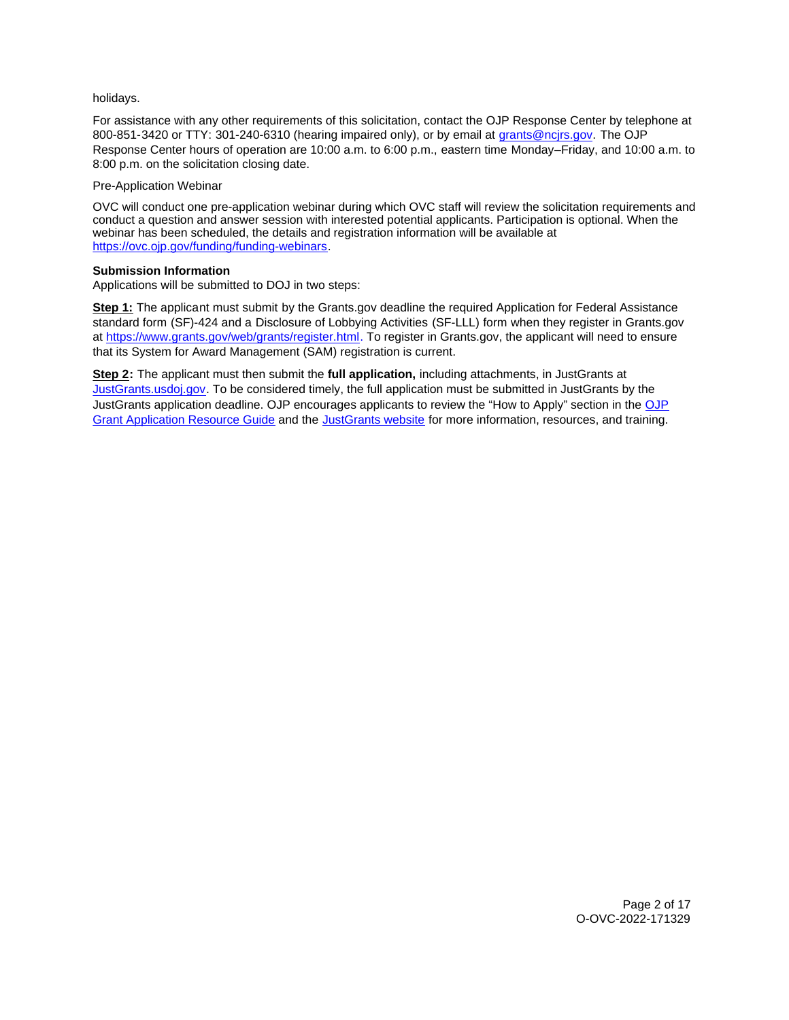## holidays.

For assistance with any other requirements of this solicitation, contact the OJP Response Center by telephone at 800-851-3420 or TTY: 301-240-6310 (hearing impaired only), or by email at [grants@ncjrs.gov.](mailto:grants@ncjrs.gov) The OJP Response Center hours of operation are 10:00 a.m. to 6:00 p.m., eastern time Monday–Friday, and 10:00 a.m. to 8:00 p.m. on the solicitation closing date.

## Pre-Application Webinar

OVC will conduct one pre-application webinar during which OVC staff will review the solicitation requirements and conduct a question and answer session with interested potential applicants. Participation is optional. When the webinar has been scheduled, the details and registration information will be available at [https://ovc.ojp.gov/funding/funding-webinars.](https://ovc.ojp.gov/funding/funding-webinars)

# **Submission Information**

Applications will be submitted to DOJ in two steps:

**Step 1:** The applicant must submit by the [Grants.gov](https://Grants.gov) deadline the required Application for Federal Assistance standard form (SF)-424 and a Disclosure of Lobbying Activities (SF-LLL) form when they register in [Grants.gov](https://Grants.gov) at [https://www.grants.gov/web/grants/register.html.](https://www.grants.gov/web/grants/register.html) To register in [Grants.gov](https://Grants.gov), the applicant will need to ensure that its System for Award Management (SAM) registration is current.

**Step 2:** The applicant must then submit the **full application,** including attachments, in JustGrants at [JustGrants.usdoj.gov.](https://justicegrants.usdoj.gov/) To be considered timely, the full application must be submitted in JustGrants by the JustGrants application deadline. [OJP](https://www.ojp.gov/funding/apply/ojp-grant-application-resource-guide#apply) encourages applicants to review the "How to Apply" section in the OJP [Grant Application Resource Guide](https://www.ojp.gov/funding/apply/ojp-grant-application-resource-guide#apply) and the [JustGrants website](https://justicegrants.usdoj.gov/news) for more information, resources, and training.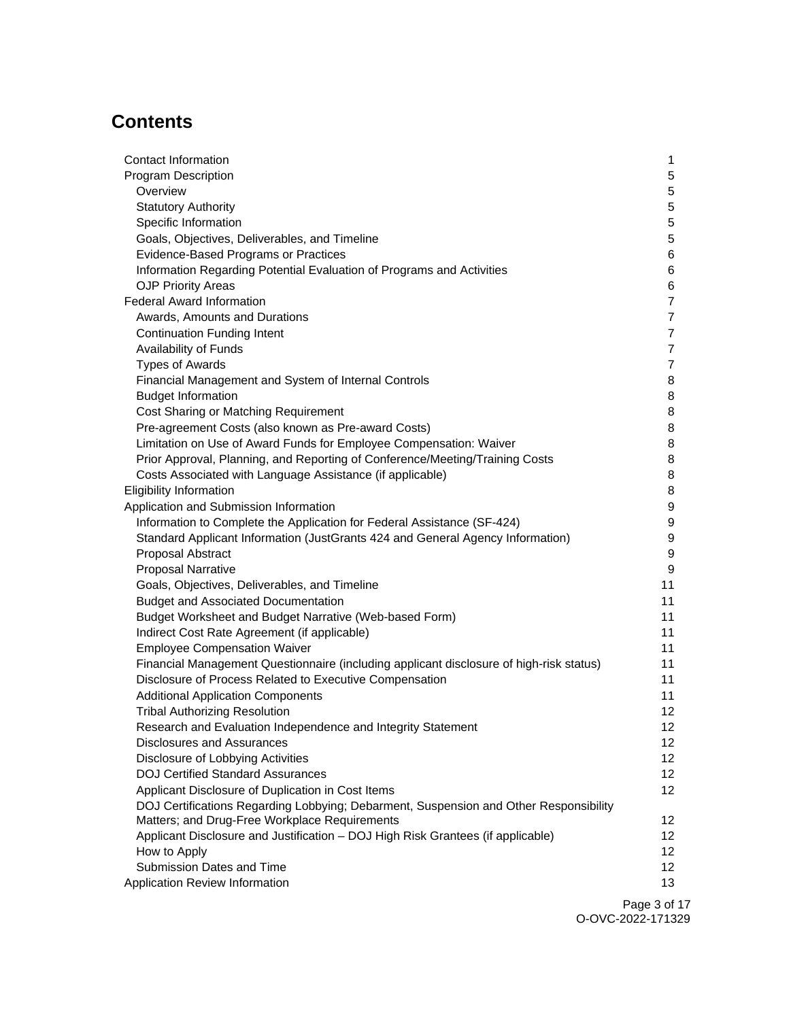# **Contents**

| Contact Information                                                                     | 1               |
|-----------------------------------------------------------------------------------------|-----------------|
| <b>Program Description</b>                                                              | 5               |
| Overview                                                                                | 5               |
| <b>Statutory Authority</b>                                                              | 5               |
| Specific Information                                                                    | 5               |
| Goals, Objectives, Deliverables, and Timeline                                           | 5               |
| Evidence-Based Programs or Practices                                                    | 6               |
| Information Regarding Potential Evaluation of Programs and Activities                   | 6               |
| <b>OJP Priority Areas</b>                                                               | 6               |
| <b>Federal Award Information</b>                                                        | $\overline{7}$  |
| Awards, Amounts and Durations                                                           | $\overline{7}$  |
| <b>Continuation Funding Intent</b>                                                      | $\overline{7}$  |
| Availability of Funds                                                                   | $\overline{7}$  |
| <b>Types of Awards</b>                                                                  | $\overline{7}$  |
| Financial Management and System of Internal Controls                                    | 8               |
| <b>Budget Information</b>                                                               | 8               |
| Cost Sharing or Matching Requirement                                                    | 8               |
| Pre-agreement Costs (also known as Pre-award Costs)                                     | 8               |
| Limitation on Use of Award Funds for Employee Compensation: Waiver                      | 8               |
| Prior Approval, Planning, and Reporting of Conference/Meeting/Training Costs            | 8               |
| Costs Associated with Language Assistance (if applicable)                               | 8               |
| <b>Eligibility Information</b>                                                          | 8               |
| Application and Submission Information                                                  | 9               |
| Information to Complete the Application for Federal Assistance (SF-424)                 | 9               |
| Standard Applicant Information (JustGrants 424 and General Agency Information)          | 9               |
| Proposal Abstract                                                                       | 9               |
| <b>Proposal Narrative</b>                                                               | 9               |
| Goals, Objectives, Deliverables, and Timeline                                           | 11              |
| <b>Budget and Associated Documentation</b>                                              | 11              |
| Budget Worksheet and Budget Narrative (Web-based Form)                                  | 11              |
| Indirect Cost Rate Agreement (if applicable)                                            | 11              |
| <b>Employee Compensation Waiver</b>                                                     | 11              |
| Financial Management Questionnaire (including applicant disclosure of high-risk status) | 11              |
| Disclosure of Process Related to Executive Compensation                                 | 11              |
| <b>Additional Application Components</b>                                                | 11              |
| <b>Tribal Authorizing Resolution</b>                                                    | 12              |
| Research and Evaluation Independence and Integrity Statement                            | 12              |
| Disclosures and Assurances                                                              | 12 <sup>°</sup> |
| Disclosure of Lobbying Activities                                                       | 12 <sup>°</sup> |
| <b>DOJ Certified Standard Assurances</b>                                                | 12 <sup>°</sup> |
| Applicant Disclosure of Duplication in Cost Items                                       | 12              |
| DOJ Certifications Regarding Lobbying; Debarment, Suspension and Other Responsibility   |                 |
| Matters; and Drug-Free Workplace Requirements                                           | 12 <sup>°</sup> |
| Applicant Disclosure and Justification - DOJ High Risk Grantees (if applicable)         | 12 <sub>2</sub> |
| How to Apply                                                                            | 12 <sub>2</sub> |
| Submission Dates and Time                                                               | 12              |
| Application Review Information                                                          | 13              |
|                                                                                         | Dao 2 of 4      |

Page 3 of 17 O-OVC-2022-171329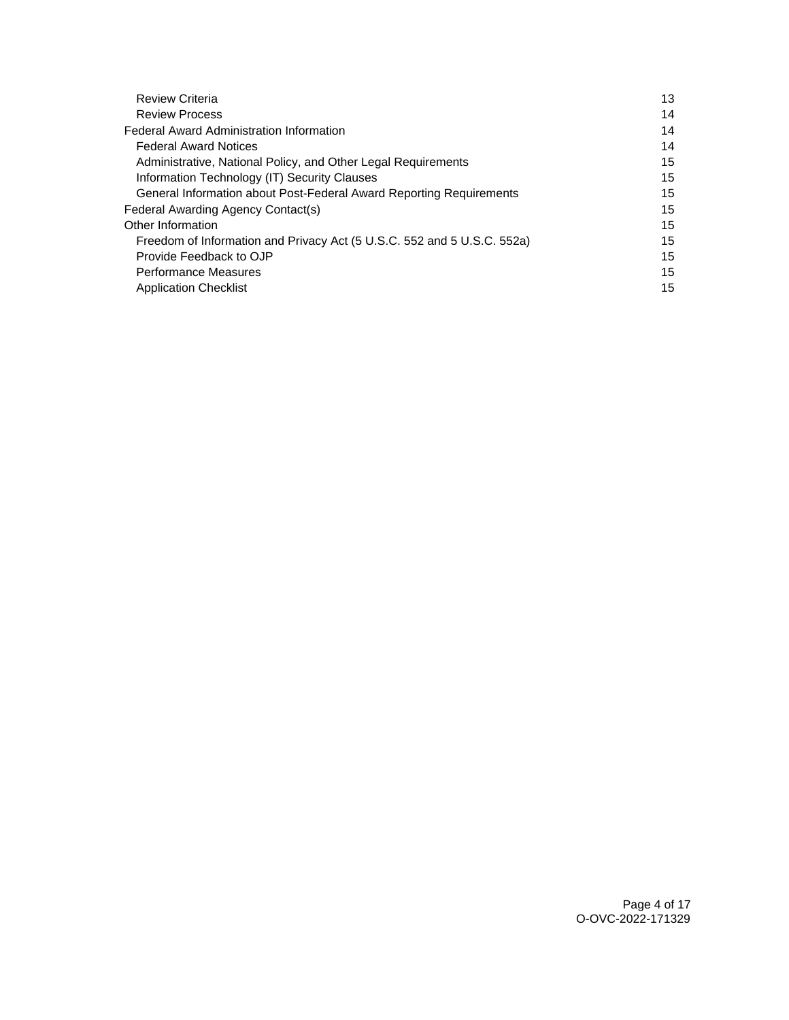| <b>Review Criteria</b>                                                  | 13 |
|-------------------------------------------------------------------------|----|
| <b>Review Process</b>                                                   | 14 |
| <b>Federal Award Administration Information</b>                         | 14 |
| <b>Federal Award Notices</b>                                            | 14 |
| Administrative, National Policy, and Other Legal Requirements           | 15 |
| Information Technology (IT) Security Clauses                            | 15 |
| General Information about Post-Federal Award Reporting Requirements     | 15 |
| Federal Awarding Agency Contact(s)                                      | 15 |
| Other Information                                                       | 15 |
| Freedom of Information and Privacy Act (5 U.S.C. 552 and 5 U.S.C. 552a) | 15 |
| Provide Feedback to OJP                                                 | 15 |
| <b>Performance Measures</b>                                             | 15 |
| <b>Application Checklist</b>                                            | 15 |
|                                                                         |    |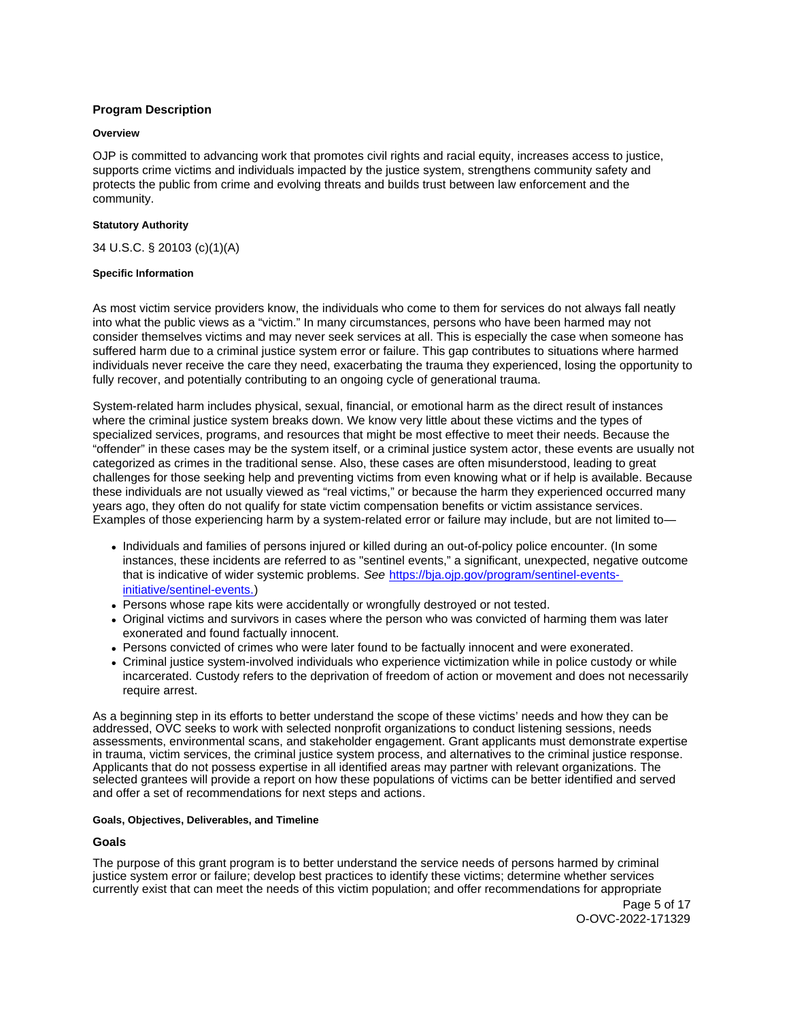# <span id="page-4-0"></span>**Program Description**

#### **Overview**

OJP is committed to advancing work that promotes civil rights and racial equity, increases access to justice, supports crime victims and individuals impacted by the justice system, strengthens community safety and protects the public from crime and evolving threats and builds trust between law enforcement and the community.

## **Statutory Authority**

34 U.S.C. § 20103 (c)(1)(A)

## **Specific Information**

As most victim service providers know, the individuals who come to them for services do not always fall neatly into what the public views as a "victim." In many circumstances, persons who have been harmed may not consider themselves victims and may never seek services at all. This is especially the case when someone has suffered harm due to a criminal justice system error or failure. This gap contributes to situations where harmed individuals never receive the care they need, exacerbating the trauma they experienced, losing the opportunity to fully recover, and potentially contributing to an ongoing cycle of generational trauma.

System-related harm includes physical, sexual, financial, or emotional harm as the direct result of instances where the criminal justice system breaks down. We know very little about these victims and the types of specialized services, programs, and resources that might be most effective to meet their needs. Because the "offender" in these cases may be the system itself, or a criminal justice system actor, these events are usually not categorized as crimes in the traditional sense. Also, these cases are often misunderstood, leading to great challenges for those seeking help and preventing victims from even knowing what or if help is available. Because these individuals are not usually viewed as "real victims," or because the harm they experienced occurred many years ago, they often do not qualify for state victim compensation benefits or victim assistance services. Examples of those experiencing harm by a system-related error or failure may include, but are not limited to—

- Individuals and families of persons injured or killed during an out-of-policy police encounter. (In some instances, these incidents are referred to as "sentinel events," a significant, unexpected, negative outcome that is indicative of wider systemic problems. See [https://bja.ojp.gov/program/sentinel-events](https://bja.ojp.gov/program/sentinel-events-initiative/sentinel-events)[initiative/sentinel-events.](https://bja.ojp.gov/program/sentinel-events-initiative/sentinel-events))
- Persons whose rape kits were accidentally or wrongfully destroyed or not tested.
- Original victims and survivors in cases where the person who was convicted of harming them was later exonerated and found factually innocent.
- Persons convicted of crimes who were later found to be factually innocent and were exonerated.
- Criminal justice system-involved individuals who experience victimization while in police custody or while incarcerated. Custody refers to the deprivation of freedom of action or movement and does not necessarily require arrest.

As a beginning step in its efforts to better understand the scope of these victims' needs and how they can be addressed, OVC seeks to work with selected nonprofit organizations to conduct listening sessions, needs assessments, environmental scans, and stakeholder engagement. Grant applicants must demonstrate expertise in trauma, victim services, the criminal justice system process, and alternatives to the criminal justice response. Applicants that do not possess expertise in all identified areas may partner with relevant organizations. The selected grantees will provide a report on how these populations of victims can be better identified and served and offer a set of recommendations for next steps and actions.

#### **Goals, Objectives, Deliverables, and Timeline**

# **Goals**

The purpose of this grant program is to better understand the service needs of persons harmed by criminal justice system error or failure; develop best practices to identify these victims; determine whether services currently exist that can meet the needs of this victim population; and offer recommendations for appropriate

> Page 5 of 17 O-OVC-2022-171329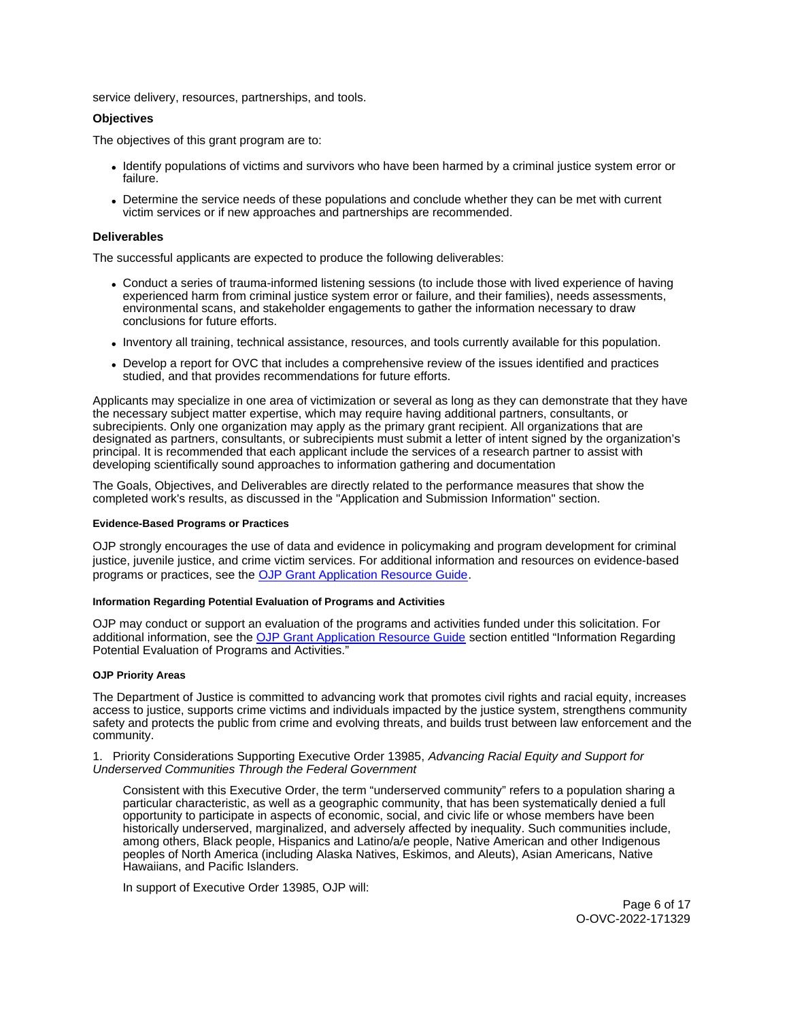<span id="page-5-0"></span>service delivery, resources, partnerships, and tools.

#### **Objectives**

The objectives of this grant program are to:

- Identify populations of victims and survivors who have been harmed by a criminal justice system error or failure.
- Determine the service needs of these populations and conclude whether they can be met with current victim services or if new approaches and partnerships are recommended.

## **Deliverables**

The successful applicants are expected to produce the following deliverables:

- Conduct a series of trauma-informed listening sessions (to include those with lived experience of having experienced harm from criminal justice system error or failure, and their families), needs assessments, environmental scans, and stakeholder engagements to gather the information necessary to draw conclusions for future efforts.
- Inventory all training, technical assistance, resources, and tools currently available for this population.
- Develop a report for OVC that includes a comprehensive review of the issues identified and practices studied, and that provides recommendations for future efforts.

Applicants may specialize in one area of victimization or several as long as they can demonstrate that they have the necessary subject matter expertise, which may require having additional partners, consultants, or subrecipients. Only one organization may apply as the primary grant recipient. All organizations that are designated as partners, consultants, or subrecipients must submit a letter of intent signed by the organization's principal. It is recommended that each applicant include the services of a research partner to assist with developing scientifically sound approaches to information gathering and documentation

The Goals, Objectives, and Deliverables are directly related to the performance measures that show the completed work's results, as discussed in the "Application and Submission Information" section.

#### **Evidence-Based Programs or Practices**

OJP strongly encourages the use of data and evidence in policymaking and program development for criminal justice, juvenile justice, and crime victim services. For additional information and resources on evidence-based programs or practices, see the [OJP Grant Application Resource Guide.](https://www.ojp.gov/funding/apply/ojp-grant-application-resource-guide#evidence-based)

#### **Information Regarding Potential Evaluation of Programs and Activities**

OJP may conduct or support an evaluation of the programs and activities funded under this solicitation. For additional information, see the [OJP Grant Application Resource Guide](https://www.ojp.gov/funding/apply/ojp-grant-application-resource-guide#potential-evaluation) section entitled "Information Regarding Potential Evaluation of Programs and Activities."

#### **OJP Priority Areas**

The Department of Justice is committed to advancing work that promotes civil rights and racial equity, increases access to justice, supports crime victims and individuals impacted by the justice system, strengthens community safety and protects the public from crime and evolving threats, and builds trust between law enforcement and the community.

#### 1. Priority Considerations Supporting Executive Order 13985, Advancing Racial Equity and Support for Underserved Communities Through the Federal Government

Consistent with this Executive Order, the term "underserved community" refers to a population sharing a particular characteristic, as well as a geographic community, that has been systematically denied a full opportunity to participate in aspects of economic, social, and civic life or whose members have been historically underserved, marginalized, and adversely affected by inequality. Such communities include, among others, Black people, Hispanics and Latino/a/e people, Native American and other Indigenous peoples of North America (including Alaska Natives, Eskimos, and Aleuts), Asian Americans, Native Hawaiians, and Pacific Islanders.

In support of Executive Order 13985, OJP will:

Page 6 of 17 O-OVC-2022-171329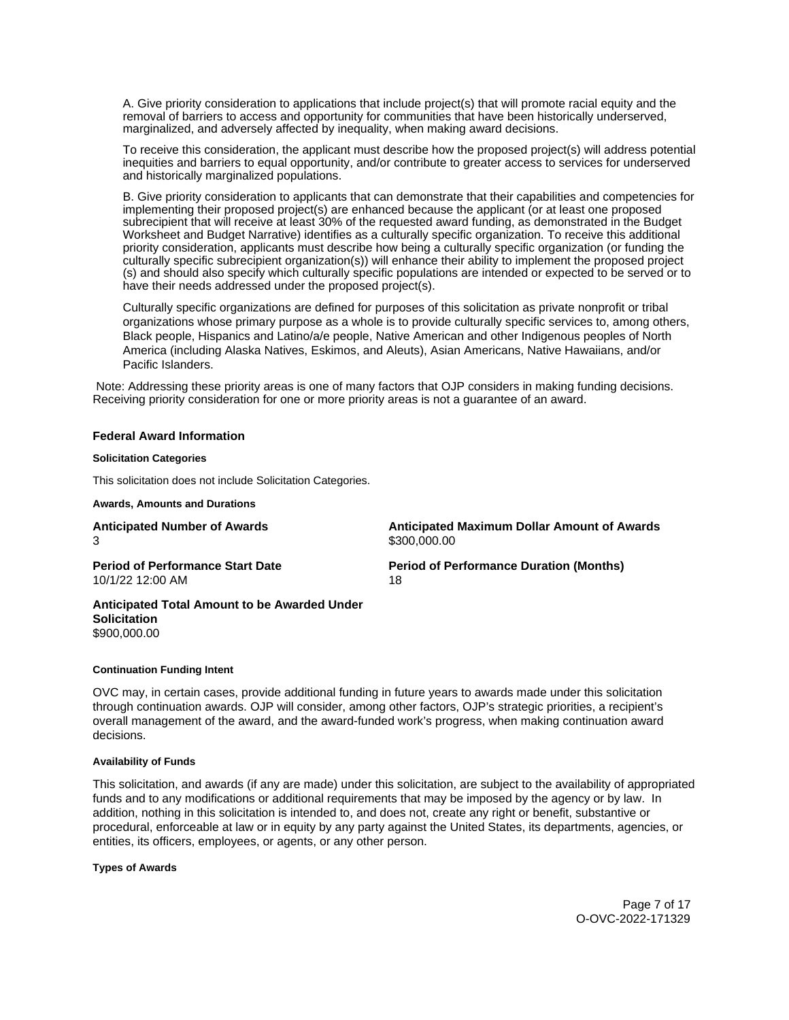<span id="page-6-0"></span>A. Give priority consideration to applications that include project(s) that will promote racial equity and the removal of barriers to access and opportunity for communities that have been historically underserved, marginalized, and adversely affected by inequality, when making award decisions.

To receive this consideration, the applicant must describe how the proposed project(s) will address potential inequities and barriers to equal opportunity, and/or contribute to greater access to services for underserved and historically marginalized populations.

B. Give priority consideration to applicants that can demonstrate that their capabilities and competencies for implementing their proposed project(s) are enhanced because the applicant (or at least one proposed subrecipient that will receive at least 30% of the requested award funding, as demonstrated in the Budget Worksheet and Budget Narrative) identifies as a culturally specific organization. To receive this additional priority consideration, applicants must describe how being a culturally specific organization (or funding the culturally specific subrecipient organization(s)) will enhance their ability to implement the proposed project (s) and should also specify which culturally specific populations are intended or expected to be served or to have their needs addressed under the proposed project(s).

Culturally specific organizations are defined for purposes of this solicitation as private nonprofit or tribal organizations whose primary purpose as a whole is to provide culturally specific services to, among others, Black people, Hispanics and Latino/a/e people, Native American and other Indigenous peoples of North America (including Alaska Natives, Eskimos, and Aleuts), Asian Americans, Native Hawaiians, and/or Pacific Islanders.

 Note: Addressing these priority areas is one of many factors that OJP considers in making funding decisions. Receiving priority consideration for one or more priority areas is not a guarantee of an award.

#### **Federal Award Information**

#### **Solicitation Categories**

This solicitation does not include Solicitation Categories.

**Awards, Amounts and Durations** 

| <b>Anticipated Number of Awards</b>                                 | <b>Anticipated Maximum Dollar Amount of Awards</b> |
|---------------------------------------------------------------------|----------------------------------------------------|
| 3                                                                   | \$300,000,00                                       |
| <b>Period of Performance Start Date</b>                             | <b>Period of Performance Duration (Months)</b>     |
| 10/1/22 12:00 AM                                                    | 18                                                 |
| Anticipated Total Amount to be Awarded Under<br><b>Solicitation</b> |                                                    |

[\\$900,000.00](https://900,000.00) 

#### **Continuation Funding Intent**

OVC may, in certain cases, provide additional funding in future years to awards made under this solicitation through continuation awards. OJP will consider, among other factors, OJP's strategic priorities, a recipient's overall management of the award, and the award-funded work's progress, when making continuation award decisions.

#### **Availability of Funds**

This solicitation, and awards (if any are made) under this solicitation, are subject to the availability of appropriated funds and to any modifications or additional requirements that may be imposed by the agency or by law. In addition, nothing in this solicitation is intended to, and does not, create any right or benefit, substantive or procedural, enforceable at law or in equity by any party against the United States, its departments, agencies, or entities, its officers, employees, or agents, or any other person.

**Types of Awards** 

Page 7 of 17 O-OVC-2022-171329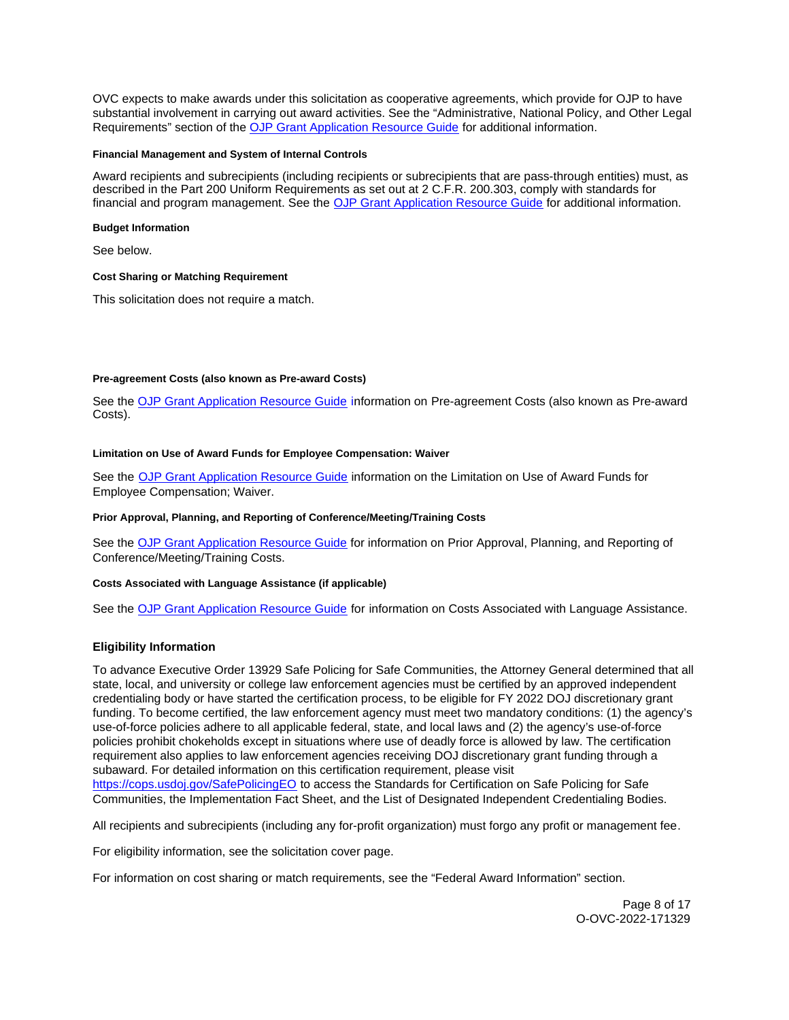<span id="page-7-0"></span>OVC expects to make awards under this solicitation as cooperative agreements, which provide for OJP to have substantial involvement in carrying out award activities. See the "Administrative, National Policy, and Other Legal Requirements" section of the [OJP Grant Application Resource Guide](https://www.ojp.gov/funding/apply/ojp-grant-application-resource-guide#administrative) for additional information.

#### **Financial Management and System of Internal Controls**

Award recipients and subrecipients (including recipients or subrecipients that are pass-through entities) must, as described in the Part 200 Uniform Requirements as set out at 2 C.F.R. 200.303, comply with standards for financial and program management. See the [OJP Grant Application Resource Guide](https://www.ojp.gov/funding/apply/ojp-grant-application-resource-guide#fm-internal-controls) for additional information.

## **Budget Information**

See below.

## **Cost Sharing or Matching Requirement**

This solicitation does not require a match.

## **Pre-agreement Costs (also known as Pre-award Costs)**

See the [OJP Grant Application Resource Guide](https://www.ojp.gov/funding/apply/ojp-grant-application-resource-guide#pre-agreement-costs) information on Pre-agreement Costs (also known as Pre-award Costs).

## **Limitation on Use of Award Funds for Employee Compensation: Waiver**

See the [OJP Grant Application Resource Guide](https://www.ojp.gov/funding/apply/ojp-grant-application-resource-guide#limitation-use-award) information on the Limitation on Use of Award Funds for Employee Compensation; Waiver.

#### **Prior Approval, Planning, and Reporting of Conference/Meeting/Training Costs**

See the [OJP Grant Application Resource Guide](https://www.ojp.gov/funding/apply/ojp-grant-application-resource-guide#prior-approval) for information on Prior Approval, Planning, and Reporting of Conference/Meeting/Training Costs.

#### **Costs Associated with Language Assistance (if applicable)**

See the [OJP Grant Application Resource Guide](https://www.ojp.gov/funding/apply/ojp-grant-application-resource-guide#costs-associated) for information on Costs Associated with Language Assistance.

# **Eligibility Information**

To advance Executive Order 13929 Safe Policing for Safe Communities, the Attorney General determined that all state, local, and university or college law enforcement agencies must be certified by an approved independent credentialing body or have started the certification process, to be eligible for FY 2022 DOJ discretionary grant funding. To become certified, the law enforcement agency must meet two mandatory conditions: (1) the agency's use-of-force policies adhere to all applicable federal, state, and local laws and (2) the agency's use-of-force policies prohibit chokeholds except in situations where use of deadly force is allowed by law. The certification requirement also applies to law enforcement agencies receiving DOJ discretionary grant funding through a subaward. For detailed information on this certification requirement, please visit [https://cops.usdoj.gov/SafePolicingEO](https://cops.usdoj.gov/SafePolicingEO%20) to access the Standards for Certification on Safe Policing for Safe Communities, the Implementation Fact Sheet, and the List of Designated Independent Credentialing Bodies.

All recipients and subrecipients (including any for-profit organization) must forgo any profit or management fee.

For eligibility information, see the solicitation cover page.

For information on cost sharing or match requirements, see the "Federal Award Information" section.

Page 8 of 17 O-OVC-2022-171329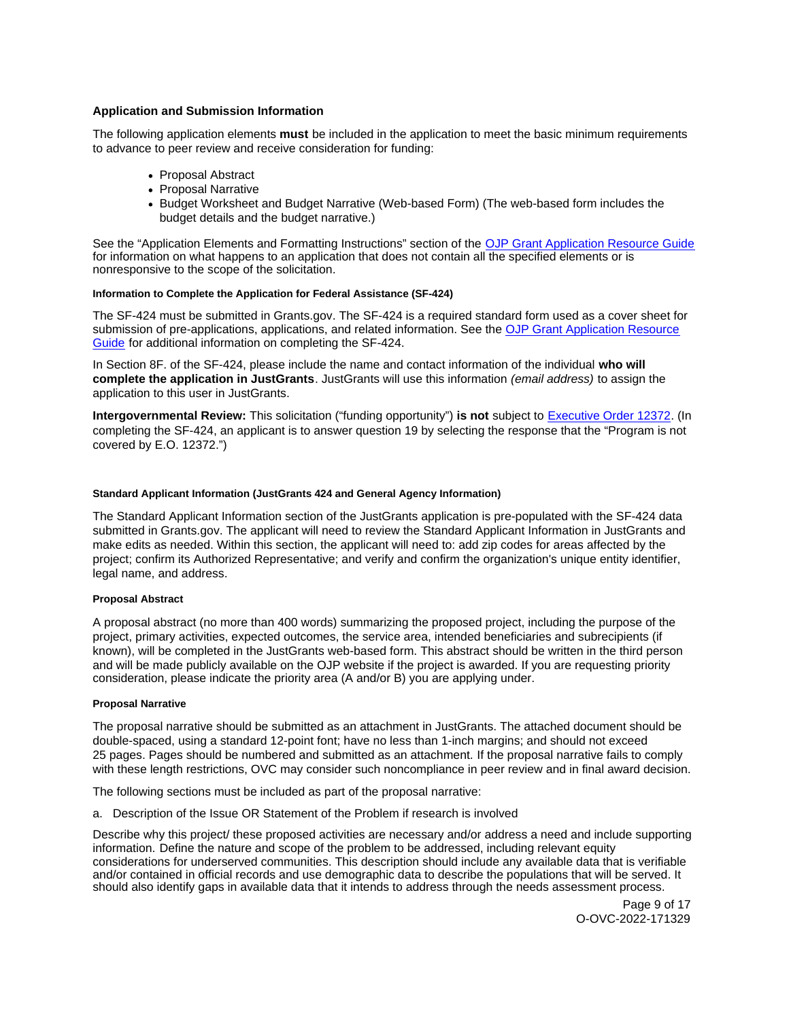# <span id="page-8-0"></span>**Application and Submission Information**

The following application elements **must** be included in the application to meet the basic minimum requirements to advance to peer review and receive consideration for funding:

- Proposal Abstract
- Proposal Narrative
- Budget Worksheet and Budget Narrative (Web-based Form) (The web-based form includes the budget details and the budget narrative.)

See the "Application Elements and Formatting Instructions" section of the [OJP Grant Application Resource Guide](https://www.ojp.gov/funding/apply/ojp-grant-application-resource-guide#application-elements)  for information on what happens to an application that does not contain all the specified elements or is nonresponsive to the scope of the solicitation.

# **Information to Complete the Application for Federal Assistance (SF-424)**

The SF-424 must be submitted in [Grants.gov](https://Grants.gov). The SF-424 is a required standard form used as a cover sheet for submission of pre-applications, applications, and related information. See the OJP Grant Application Resource [Guide](https://www.ojp.gov/funding/apply/ojp-grant-application-resource-guide#complete-application) for additional information on completing the SF-424.

In Section 8F. of the SF-424, please include the name and contact information of the individual **who will complete the application in JustGrants**. JustGrants will use this information (email address) to assign the application to this user in JustGrants.

**Intergovernmental Review:** This solicitation ("funding opportunity") **is not** subject to [Executive Order 12372.](https://www.archives.gov/federal-register/codification/executive-order/12372.html) (In completing the SF-424, an applicant is to answer question 19 by selecting the response that the "Program is not covered by E.O. 12372.")

## **Standard Applicant Information (JustGrants 424 and General Agency Information)**

The Standard Applicant Information section of the JustGrants application is pre-populated with the SF-424 data submitted in [Grants.gov.](https://Grants.gov) The applicant will need to review the Standard Applicant Information in JustGrants and make edits as needed. Within this section, the applicant will need to: add zip codes for areas affected by the project; confirm its Authorized Representative; and verify and confirm the organization's unique entity identifier, legal name, and address.

## **Proposal Abstract**

A proposal abstract (no more than 400 words) summarizing the proposed project, including the purpose of the project, primary activities, expected outcomes, the service area, intended beneficiaries and subrecipients (if known), will be completed in the JustGrants web-based form. This abstract should be written in the third person and will be made publicly available on the OJP website if the project is awarded. If you are requesting priority consideration, please indicate the priority area (A and/or B) you are applying under.

#### **Proposal Narrative**

The proposal narrative should be submitted as an attachment in JustGrants. The attached document should be double-spaced, using a standard 12-point font; have no less than 1-inch margins; and should not exceed 25 pages. Pages should be numbered and submitted as an attachment. If the proposal narrative fails to comply with these length restrictions, OVC may consider such noncompliance in peer review and in final award decision.

The following sections must be included as part of the proposal narrative:

a. Description of the Issue OR Statement of the Problem if research is involved

Describe why this project/ these proposed activities are necessary and/or address a need and include supporting information. Define the nature and scope of the problem to be addressed, including relevant equity considerations for underserved communities. This description should include any available data that is verifiable and/or contained in official records and use demographic data to describe the populations that will be served. It should also identify gaps in available data that it intends to address through the needs assessment process.

> Page 9 of 17 O-OVC-2022-171329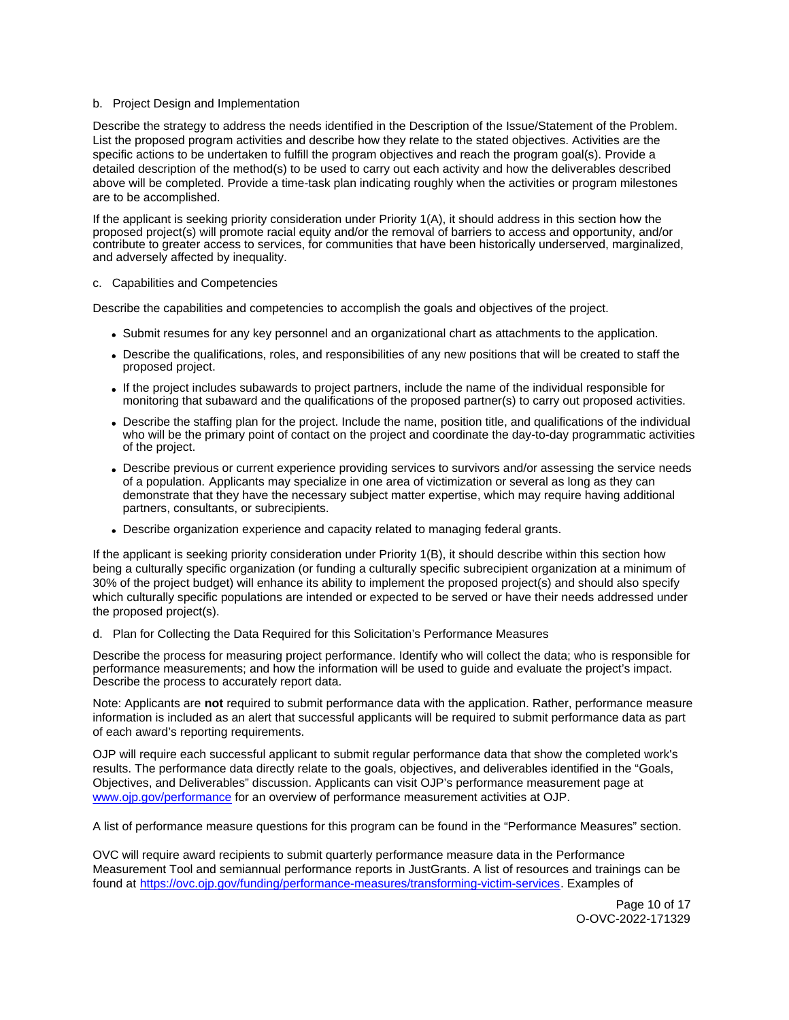## b. Project Design and Implementation

Describe the strategy to address the needs identified in the Description of the Issue/Statement of the Problem. List the proposed program activities and describe how they relate to the stated objectives. Activities are the specific actions to be undertaken to fulfill the program objectives and reach the program goal(s). Provide a detailed description of the method(s) to be used to carry out each activity and how the deliverables described above will be completed. Provide a time-task plan indicating roughly when the activities or program milestones are to be accomplished.

If the applicant is seeking priority consideration under Priority 1(A), it should address in this section how the proposed project(s) will promote racial equity and/or the removal of barriers to access and opportunity, and/or contribute to greater access to services, for communities that have been historically underserved, marginalized, and adversely affected by inequality.

## c. Capabilities and Competencies

Describe the capabilities and competencies to accomplish the goals and objectives of the project.

- Submit resumes for any key personnel and an organizational chart as attachments to the application.
- Describe the qualifications, roles, and responsibilities of any new positions that will be created to staff the proposed project.
- If the project includes subawards to project partners, include the name of the individual responsible for monitoring that subaward and the qualifications of the proposed partner(s) to carry out proposed activities.
- Describe the staffing plan for the project. Include the name, position title, and qualifications of the individual who will be the primary point of contact on the project and coordinate the day-to-day programmatic activities of the project.
- Describe previous or current experience providing services to survivors and/or assessing the service needs of a population. Applicants may specialize in one area of victimization or several as long as they can demonstrate that they have the necessary subject matter expertise, which may require having additional partners, consultants, or subrecipients.
- Describe organization experience and capacity related to managing federal grants.

If the applicant is seeking priority consideration under Priority 1(B), it should describe within this section how being a culturally specific organization (or funding a culturally specific subrecipient organization at a minimum of 30% of the project budget) will enhance its ability to implement the proposed project(s) and should also specify which culturally specific populations are intended or expected to be served or have their needs addressed under the proposed project(s).

# d. Plan for Collecting the Data Required for this Solicitation's Performance Measures

Describe the process for measuring project performance. Identify who will collect the data; who is responsible for performance measurements; and how the information will be used to guide and evaluate the project's impact. Describe the process to accurately report data.

Note: Applicants are **not** required to submit performance data with the application. Rather, performance measure information is included as an alert that successful applicants will be required to submit performance data as part of each award's reporting requirements.

OJP will require each successful applicant to submit regular performance data that show the completed work's results. The performance data directly relate to the goals, objectives, and deliverables identified in the "Goals, Objectives, and Deliverables" discussion. Applicants can visit OJP's performance measurement page at [www.ojp.gov/performance](https://www.ojp.gov/performance) for an overview of performance measurement activities at OJP.

A list of performance measure questions for this program can be found in the "Performance Measures" section.

OVC will require award recipients to submit quarterly performance measure data in the Performance Measurement Tool and semiannual performance reports in JustGrants. A list of resources and trainings can be found at [https://ovc.ojp.gov/funding/performance-measures/transforming-victim-services.](https://ovc.ojp.gov/funding/performance-measures/transforming-victim-services) Examples of

> Page 10 of 17 O-OVC-2022-171329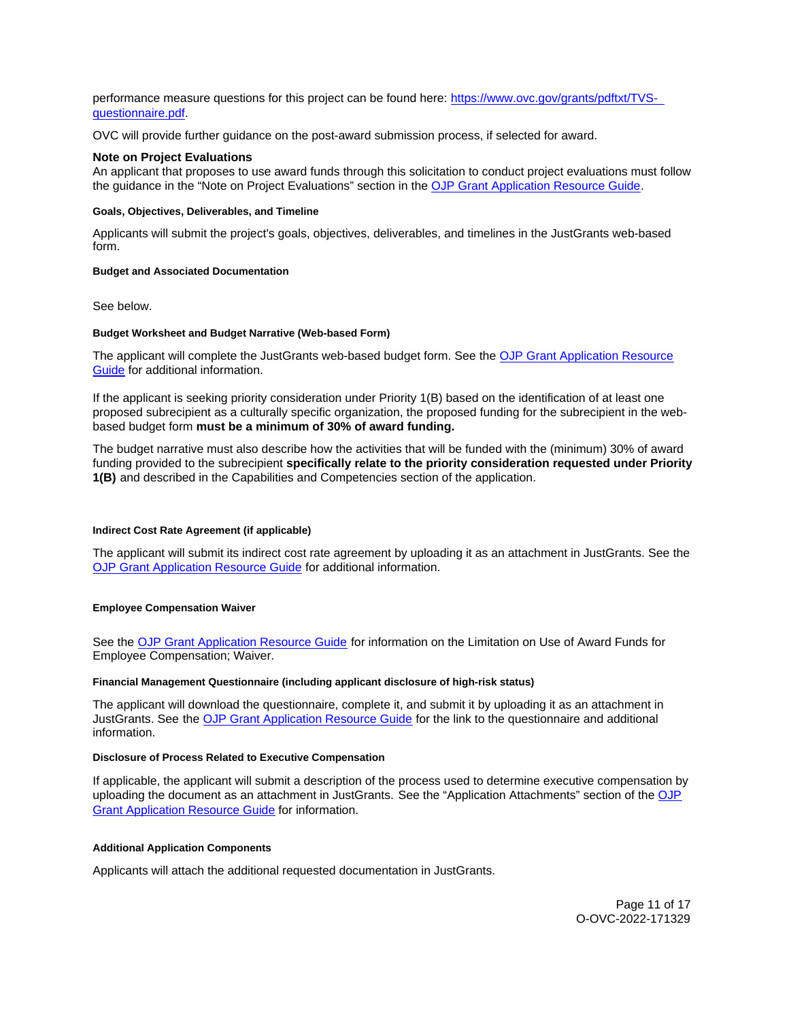<span id="page-10-0"></span>performance measure questions for this project can be found here: [https://www.ovc.gov/grants/pdftxt/TVS](https://www.ovc.gov/grants/pdftxt/TVS-questionnaire.pdf)[questionnaire.pdf.](https://www.ovc.gov/grants/pdftxt/TVS-questionnaire.pdf)

OVC will provide further guidance on the post-award submission process, if selected for award.

## **Note on Project Evaluations**

An applicant that proposes to use award funds through this solicitation to conduct project evaluations must follow the guidance in the "Note on Project Evaluations" section in the [OJP Grant Application Resource Guide.](https://www.ojp.gov/funding/apply/ojp-grant-application-resource-guide#project-evaluations)

## **Goals, Objectives, Deliverables, and Timeline**

Applicants will submit the project's goals, objectives, deliverables, and timelines in the JustGrants web-based form.

#### **Budget and Associated Documentation**

See below.

#### **Budget Worksheet and Budget Narrative (Web-based Form)**

The applicant will complete the JustGrants web-based budget form. See the [OJP Grant Application Resource](https://www.ojp.gov/funding/apply/ojp-grant-application-resource-guide#budget-prep)  [Guide](https://www.ojp.gov/funding/apply/ojp-grant-application-resource-guide#budget-prep) for additional information.

If the applicant is seeking priority consideration under Priority 1(B) based on the identification of at least one proposed subrecipient as a culturally specific organization, the proposed funding for the subrecipient in the webbased budget form **must be a minimum of 30% of award funding.** 

The budget narrative must also describe how the activities that will be funded with the (minimum) 30% of award funding provided to the subrecipient **specifically relate to the priority consideration requested under Priority 1(B)** and described in the Capabilities and Competencies section of the application.

## **Indirect Cost Rate Agreement (if applicable)**

The applicant will submit its indirect cost rate agreement by uploading it as an attachment in JustGrants. See the [OJP Grant Application Resource Guide](https://www.ojp.gov/funding/apply/ojp-grant-application-resource-guide#indirect-cost) for additional information.

#### **Employee Compensation Waiver**

See the [OJP Grant Application Resource Guide](https://www.ojp.gov/funding/apply/ojp-grant-application-resource-guide#limitation-use-award) for information on the Limitation on Use of Award Funds for Employee Compensation; Waiver.

#### **Financial Management Questionnaire (including applicant disclosure of high-risk status)**

The applicant will download the questionnaire, complete it, and submit it by uploading it as an attachment in JustGrants. See the [OJP Grant Application Resource Guide](https://www.ojp.gov/funding/apply/ojp-grant-application-resource-guide#fm-internal-controls-questionnaire) for the link to the questionnaire and additional information.

# **Disclosure of Process Related to Executive Compensation**

If applicable, the applicant will submit a description of the process used to determine executive compensation by uploading the document as an attachment in JustGrants. See the "Application Attachments" section of the [OJP](https://www.ojp.gov/funding/apply/ojp-grant-application-resource-guide#disclosure-process-executive)  [Grant Application Resource Guide](https://www.ojp.gov/funding/apply/ojp-grant-application-resource-guide#disclosure-process-executive) for information.

## **Additional Application Components**

Applicants will attach the additional requested documentation in JustGrants.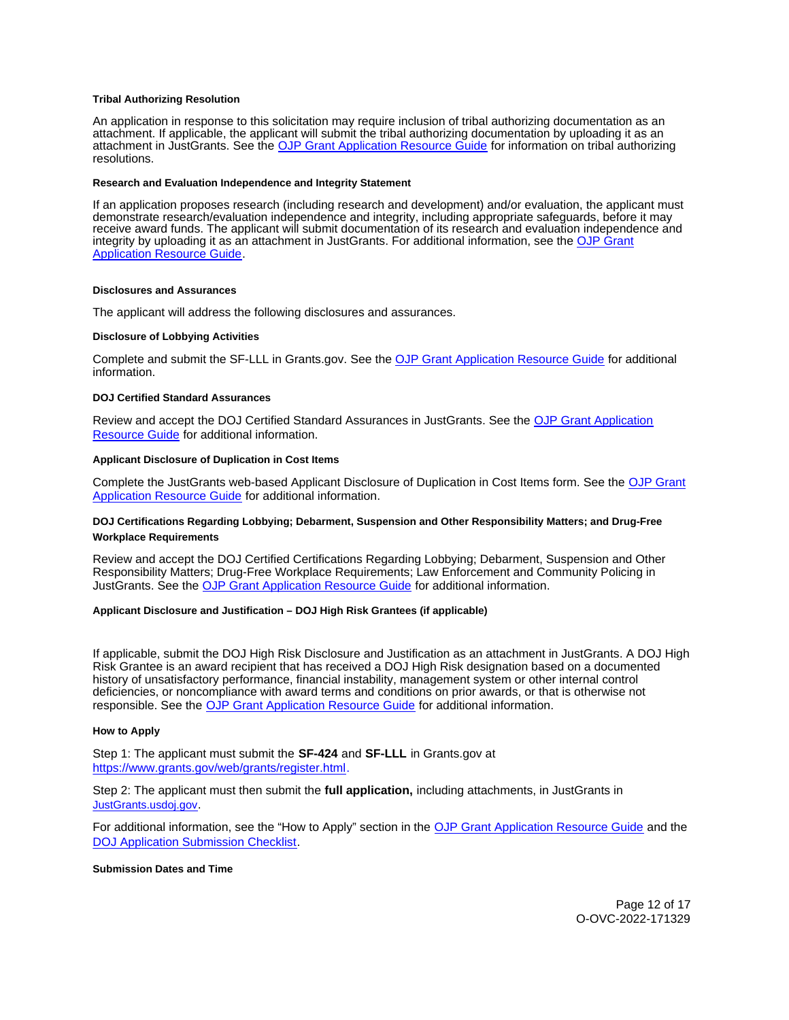#### <span id="page-11-0"></span>**Tribal Authorizing Resolution**

An application in response to this solicitation may require inclusion of tribal authorizing documentation as an attachment. If applicable, the applicant will submit the tribal authorizing documentation by uploading it as an attachment in JustGrants. See the [OJP Grant Application Resource Guide](https://www.ojp.gov/funding/apply/ojp-grant-application-resource-guide#tribal-authorizing-resolution) for information on tribal authorizing resolutions.

#### **Research and Evaluation Independence and Integrity Statement**

If an application proposes research (including research and development) and/or evaluation, the applicant must demonstrate research/evaluation independence and integrity, including appropriate safeguards, before it may receive award funds. The applicant will submit documentation of its research and evaluation independence and integrity by uploading it as an attachment in JustGrants. For additional information, see the OJP Grant [Application Resource Guide.](https://www.ojp.gov/funding/apply/ojp-grant-application-resource-guide#research-evaluation)

#### **Disclosures and Assurances**

The applicant will address the following disclosures and assurances.

#### **Disclosure of Lobbying Activities**

Complete and submit the SF-LLL in [Grants.gov.](https://Grants.gov) See the [OJP Grant Application Resource Guide](https://www.ojp.gov/funding/apply/ojp-grant-application-resource-guide#disclosure-lobby) for additional information.

#### **DOJ Certified Standard Assurances**

Review and accept the DOJ Certified Standard Assurances in JustGrants. See the [OJP Grant Application](https://www.ojp.gov/funding/apply/ojp-grant-application-resource-guide#administrative)  [Resource Guide](https://www.ojp.gov/funding/apply/ojp-grant-application-resource-guide#administrative) for additional information.

#### **Applicant Disclosure of Duplication in Cost Items**

Complete the JustGrants web-based Applicant Disclosure of Duplication in Cost Items form. See the [OJP Grant](https://www.ojp.gov/funding/apply/ojp-grant-application-resource-guide#applicant-disclosure-pending-applications)  [Application Resource Guide](https://www.ojp.gov/funding/apply/ojp-grant-application-resource-guide#applicant-disclosure-pending-applications) for additional information.

## **DOJ Certifications Regarding Lobbying; Debarment, Suspension and Other Responsibility Matters; and Drug-Free Workplace Requirements**

Review and accept the DOJ Certified Certifications Regarding Lobbying; Debarment, Suspension and Other Responsibility Matters; Drug-Free Workplace Requirements; Law Enforcement and Community Policing in JustGrants. See the [OJP Grant Application Resource Guide](https://www.ojp.gov/funding/apply/ojp-grant-application-resource-guide#administrative) for additional information.

## **Applicant Disclosure and Justification – DOJ High Risk Grantees (if applicable)**

If applicable, submit the DOJ High Risk Disclosure and Justification as an attachment in JustGrants. A DOJ High Risk Grantee is an award recipient that has received a DOJ High Risk designation based on a documented history of unsatisfactory performance, financial instability, management system or other internal control deficiencies, or noncompliance with award terms and conditions on prior awards, or that is otherwise not responsible. See the [OJP Grant Application Resource Guide](https://www.ojp.gov/funding/apply/ojp-grant-application-resource-guide) for additional information.

#### **How to Apply**

Step 1: The applicant must submit the **SF-424** and **SF-LLL** in [Grants.gov](https://Grants.gov) at [https://www.grants.gov/web/grants/register.html.](https://www.grants.gov/web/grants/register.html)

Step 2: The applicant must then submit the **full application,** including attachments, in JustGrants in [JustGrants.usdoj.gov.](https://justicegrants.usdoj.gov/)

For additional information, see the "How to Apply" section in the [OJP Grant Application Resource Guide](https://www.ojp.gov/funding/apply/ojp-grant-application-resource-guide#apply) and the [DOJ Application Submission Checklist.](https://justicegrants.usdoj.gov/sites/g/files/xyckuh296/files/media/document/appln-submission-checklist.pdf)

## **Submission Dates and Time**

Page 12 of 17 O-OVC-2022-171329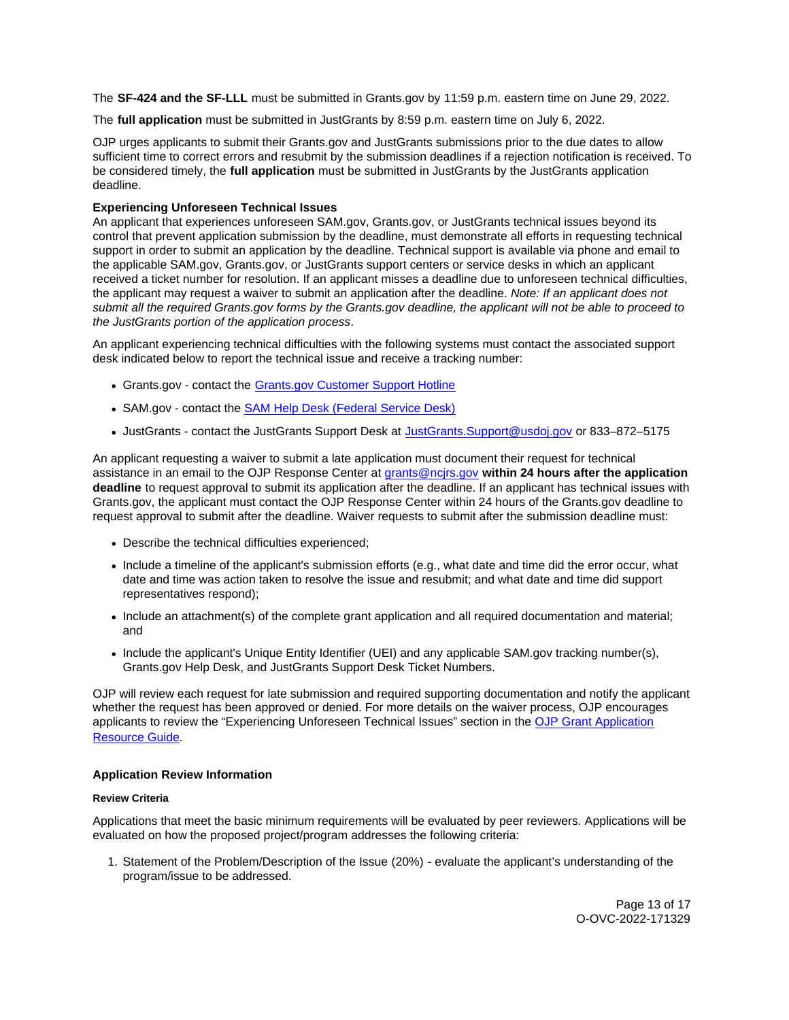<span id="page-12-0"></span>The **SF-424 and the SF-LLL** must be submitted in [Grants.gov](https://Grants.gov) by 11:59 p.m. eastern time on June 29, 2022.

The **full application** must be submitted in JustGrants by 8:59 p.m. eastern time on July 6, 2022.

OJP urges applicants to submit their [Grants.gov](https://Grants.gov) and JustGrants submissions prior to the due dates to allow sufficient time to correct errors and resubmit by the submission deadlines if a rejection notification is received. To be considered timely, the **full application** must be submitted in JustGrants by the JustGrants application deadline.

# **Experiencing Unforeseen Technical Issues**

An applicant that experiences unforeseen SAM.gov, [Grants.gov,](https://Grants.gov) or JustGrants technical issues beyond its control that prevent application submission by the deadline, must demonstrate all efforts in requesting technical support in order to submit an application by the deadline. Technical support is available via phone and email to the applicable SAM.gov, [Grants.gov,](https://Grants.gov) or JustGrants support centers or service desks in which an applicant received a ticket number for resolution. If an applicant misses a deadline due to unforeseen technical difficulties, the applicant may request a waiver to submit an application after the deadline. Note: If an applicant does not submit all the required [Grants.gov](https://Grants.gov) forms by the [Grants.gov](https://Grants.gov) deadline, the applicant will not be able to proceed to the JustGrants portion of the application process.

An applicant experiencing technical difficulties with the following systems must contact the associated support desk indicated below to report the technical issue and receive a tracking number:

- [Grants.gov](https://Grants.gov)  contact the [Grants.gov Customer Support Hotline](https://www.grants.gov/web/grants/support.html)
- SAM.gov contact the [SAM Help Desk \(Federal Service Desk\)](https://www.fsd.gov/gsafsd_sp)
- JustGrants contact the JustGrants Support Desk at [JustGrants.Support@usdoj.gov](mailto:JustGrants.Support@usdoj.gov) or 833–872–5175

An applicant requesting a waiver to submit a late application must document their request for technical assistance in an email to the OJP Response Center at [grants@ncjrs.gov](mailto:grants@ncjrs.gov) **within 24 hours after the application deadline** to request approval to submit its application after the deadline. If an applicant has technical issues with [Grants.gov,](https://Grants.gov) the applicant must contact the OJP Response Center within 24 hours of the [Grants.gov](https://Grants.gov) deadline to request approval to submit after the deadline. Waiver requests to submit after the submission deadline must:

- Describe the technical difficulties experienced;
- Include a timeline of the applicant's submission efforts (e.g., what date and time did the error occur, what date and time was action taken to resolve the issue and resubmit; and what date and time did support representatives respond);
- Include an attachment(s) of the complete grant application and all required documentation and material; and
- Include the applicant's Unique Entity Identifier (UEI) and any applicable SAM.gov tracking number(s), [Grants.gov](https://Grants.gov) Help Desk, and JustGrants Support Desk Ticket Numbers.

OJP will review each request for late submission and required supporting documentation and notify the applicant whether the request has been approved or denied. For more details on the waiver process, OJP encourages applicants to review the "Experiencing Unforeseen Technical Issues" section in the OJP Grant Application [Resource Guide](https://www.ojp.gov/funding/apply/ojp-grant-application-resource-guide#experiencing-unforeseen-technical-issues).

# **Application Review Information**

# **Review Criteria**

Applications that meet the basic minimum requirements will be evaluated by peer reviewers. Applications will be evaluated on how the proposed project/program addresses the following criteria:

1. Statement of the Problem/Description of the Issue (20%) - evaluate the applicant's understanding of the program/issue to be addressed.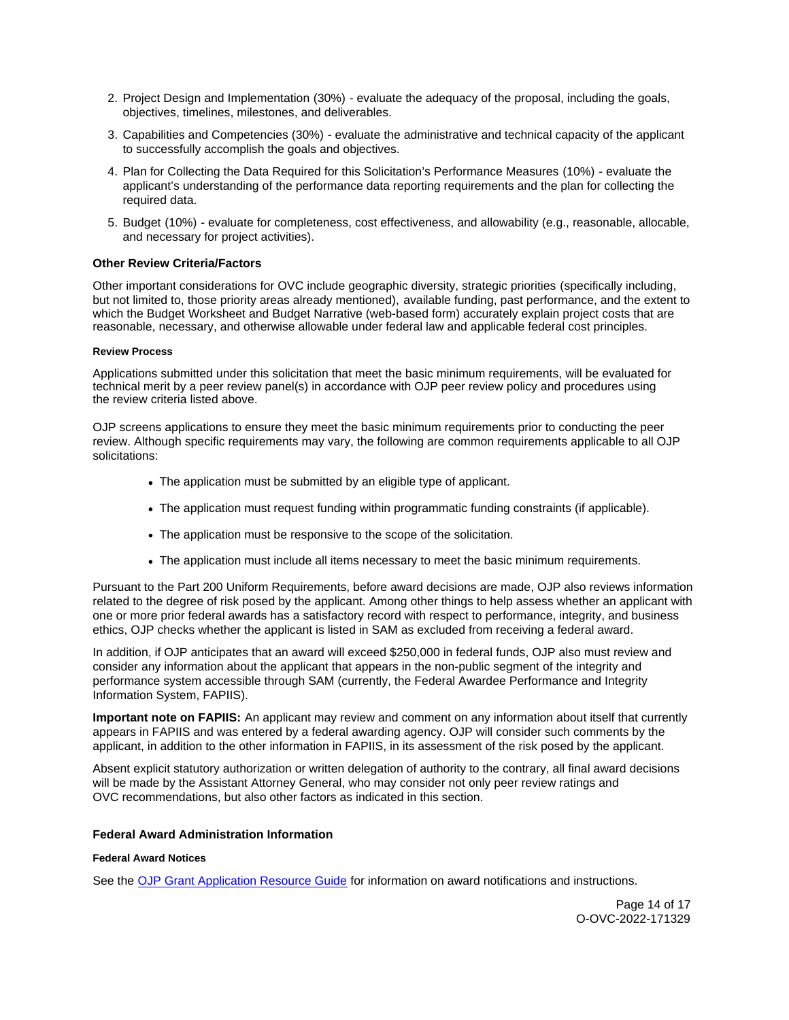- <span id="page-13-0"></span>2. Project Design and Implementation (30%) - evaluate the adequacy of the proposal, including the goals, objectives, timelines, milestones, and deliverables.
- 3. Capabilities and Competencies (30%) evaluate the administrative and technical capacity of the applicant to successfully accomplish the goals and objectives.
- 4. Plan for Collecting the Data Required for this Solicitation's Performance Measures (10%) evaluate the applicant's understanding of the performance data reporting requirements and the plan for collecting the required data.
- 5. Budget (10%) evaluate for completeness, cost effectiveness, and allowability (e.g., reasonable, allocable, and necessary for project activities).

# **Other Review Criteria/Factors**

Other important considerations for OVC include geographic diversity, strategic priorities (specifically including, but not limited to, those priority areas already mentioned), available funding, past performance, and the extent to which the Budget Worksheet and Budget Narrative (web-based form) accurately explain project costs that are reasonable, necessary, and otherwise allowable under federal law and applicable federal cost principles.

# **Review Process**

Applications submitted under this solicitation that meet the basic minimum requirements, will be evaluated for technical merit by a peer review panel(s) in accordance with OJP peer review policy and procedures using the review criteria listed above.

OJP screens applications to ensure they meet the basic minimum requirements prior to conducting the peer review. Although specific requirements may vary, the following are common requirements applicable to all OJP solicitations:

- The application must be submitted by an eligible type of applicant.
- The application must request funding within programmatic funding constraints (if applicable).
- The application must be responsive to the scope of the solicitation.
- The application must include all items necessary to meet the basic minimum requirements.

Pursuant to the Part 200 Uniform Requirements, before award decisions are made, OJP also reviews information related to the degree of risk posed by the applicant. Among other things to help assess whether an applicant with one or more prior federal awards has a satisfactory record with respect to performance, integrity, and business ethics, OJP checks whether the applicant is listed in SAM as excluded from receiving a federal award.

In addition, if OJP anticipates that an award will exceed \$250,000 in federal funds, OJP also must review and consider any information about the applicant that appears in the non-public segment of the integrity and performance system accessible through SAM (currently, the Federal Awardee Performance and Integrity Information System, FAPIIS).

**Important note on FAPIIS:** An applicant may review and comment on any information about itself that currently appears in FAPIIS and was entered by a federal awarding agency. OJP will consider such comments by the applicant, in addition to the other information in FAPIIS, in its assessment of the risk posed by the applicant.

Absent explicit statutory authorization or written delegation of authority to the contrary, all final award decisions will be made by the Assistant Attorney General, who may consider not only peer review ratings and OVC recommendations, but also other factors as indicated in this section.

# **Federal Award Administration Information**

# **Federal Award Notices**

See the [OJP Grant Application Resource Guide](https://www.ojp.gov/funding/apply/ojp-grant-application-resource-guide#federal-award-notices) for information on award notifications and instructions.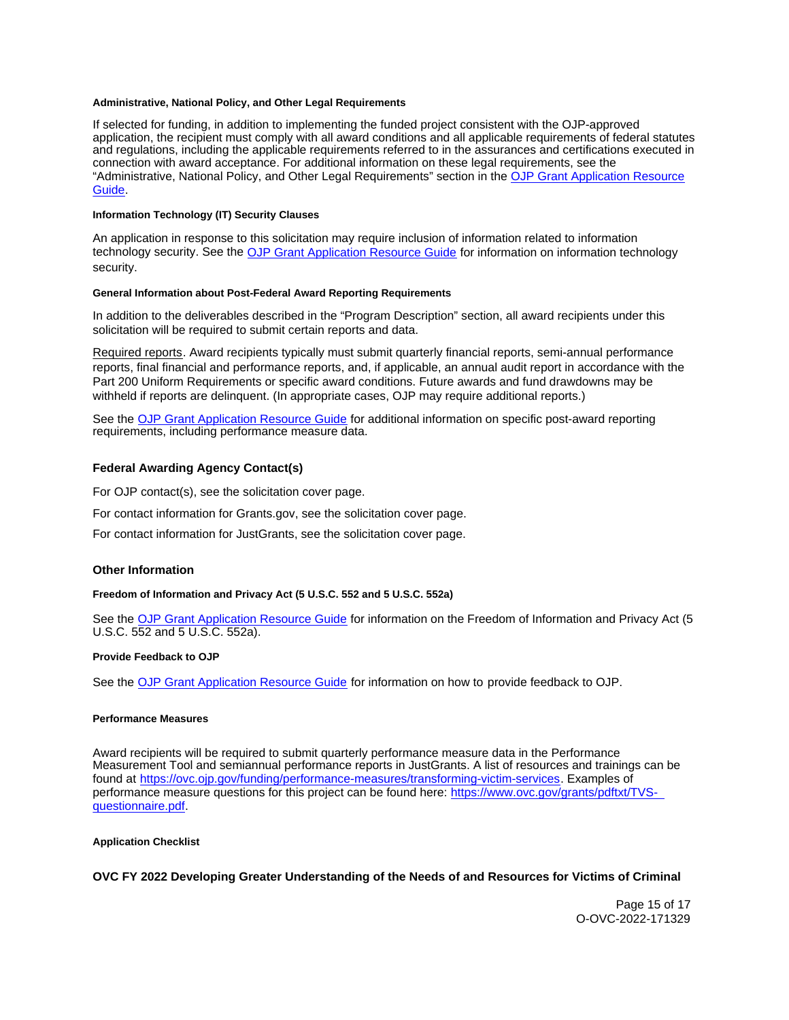## <span id="page-14-0"></span>**Administrative, National Policy, and Other Legal Requirements**

If selected for funding, in addition to implementing the funded project consistent with the OJP-approved application, the recipient must comply with all award conditions and all applicable requirements of federal statutes and regulations, including the applicable requirements referred to in the assurances and certifications executed in connection with award acceptance. For additional information on these legal requirements, see the "Administrative, National Policy, and Other Legal Requirements" section in the [OJP Grant Application Resource](https://www.ojp.gov/funding/apply/ojp-grant-application-resource-guide#administrative)  [Guide.](https://www.ojp.gov/funding/apply/ojp-grant-application-resource-guide#administrative)

## **Information Technology (IT) Security Clauses**

An application in response to this solicitation may require inclusion of information related to information technology security. See the [OJP Grant Application Resource Guide](https://www.ojp.gov/funding/apply/ojp-grant-application-resource-guide#information-technology) for information on information technology security.

#### **General Information about Post-Federal Award Reporting Requirements**

In addition to the deliverables described in the "Program Description" section, all award recipients under this solicitation will be required to submit certain reports and data.

Required reports. Award recipients typically must submit quarterly financial reports, semi-annual performance reports, final financial and performance reports, and, if applicable, an annual audit report in accordance with the Part 200 Uniform Requirements or specific award conditions. Future awards and fund drawdowns may be withheld if reports are delinquent. (In appropriate cases, OJP may require additional reports.)

See the [OJP Grant Application Resource Guide](https://www.ojp.gov/funding/apply/ojp-grant-application-resource-guide#general-information) for additional information on specific post-award reporting requirements, including performance measure data.

#### **Federal Awarding Agency Contact(s)**

For OJP contact(s), see the solicitation cover page.

For contact information for [Grants.gov](https://Grants.gov), see the solicitation cover page.

For contact information for JustGrants, see the solicitation cover page.

#### **Other Information**

#### **Freedom of Information and Privacy Act (5 U.S.C. 552 and 5 U.S.C. 552a)**

See the [OJP Grant Application Resource Guide](https://www.ojp.gov/funding/apply/ojp-grant-application-resource-guide#foia) for information on the Freedom of Information and Privacy Act (5 U.S.C. 552 and 5 U.S.C. 552a).

#### **Provide Feedback to OJP**

See the [OJP Grant Application Resource Guide](https://www.ojp.gov/funding/apply/ojp-grant-application-resource-guide#feedback) for information on how to provide feedback to OJP.

#### **Performance Measures**

Award recipients will be required to submit quarterly performance measure data in the Performance Measurement Tool and semiannual performance reports in JustGrants. A list of resources and trainings can be found at [https://ovc.ojp.gov/funding/performance-measures/transforming-victim-services.](https://ovc.ojp.gov/funding/performance-measures/transforming-victim-services) Examples of performance measure questions for this project can be found here: [https://www.ovc.gov/grants/pdftxt/TVS](https://www.ovc.gov/grants/pdftxt/TVS-questionnaire.pdf)[questionnaire.pdf.](https://www.ovc.gov/grants/pdftxt/TVS-questionnaire.pdf)

#### **Application Checklist**

**OVC FY 2022 Developing Greater Understanding of the Needs of and Resources for Victims of Criminal** 

Page 15 of 17 O-OVC-2022-171329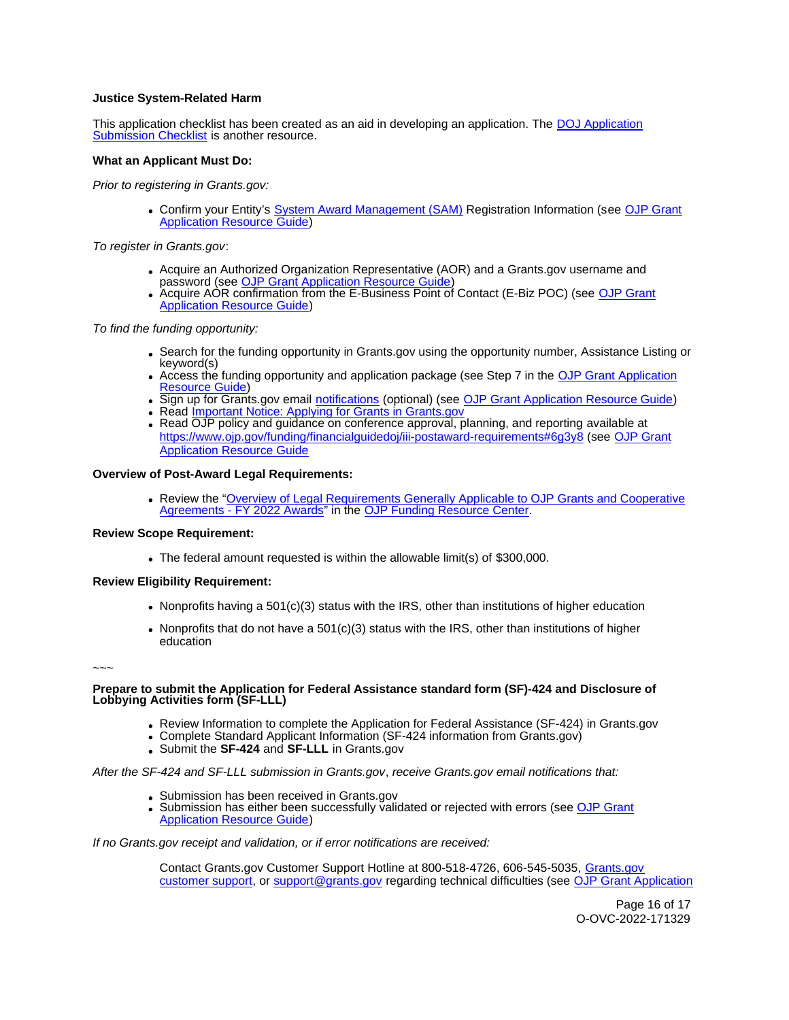# **Justice System-Related Harm**

This application checklist has been created as an aid in developing an application. The [DOJ Application](https://justicegrants.usdoj.gov/sites/g/files/xyckuh296/files/media/document/appln-submission-checklist.pdf)  [Submission Checklist](https://justicegrants.usdoj.gov/sites/g/files/xyckuh296/files/media/document/appln-submission-checklist.pdf) is another resource.

## **What an Applicant Must Do:**

Prior to registering in [Grants.gov](https://Grants.gov):

Confirm your Entity's [System Award Management \(SAM\)](https://sam.gov/SAM/) Registration Information (see [OJP Grant](https://www.ojp.gov/funding/apply/ojp-grant-application-resource-guide#apply)  [Application Resource Guide\)](https://www.ojp.gov/funding/apply/ojp-grant-application-resource-guide#apply)

To register in [Grants.gov](https://Grants.gov):

- Acquire an Authorized Organization Representative (AOR) and a [Grants.gov](https://Grants.gov) username and password (see [OJP Grant Application Resource Guide\)](https://www.ojp.gov/funding/apply/ojp-grant-application-resource-guide#apply)
- Acquire AOR confirmation from the E-Business Point of Contact (E-Biz POC) (see OJP Grant **[Application Resource Guide\)](https://www.ojp.gov/funding/apply/ojp-grant-application-resource-guide#apply)**

To find the funding opportunity:

- Search for the funding opportunity in [Grants.gov](https://Grants.gov) using the opportunity number, Assistance Listing or keyword(s)
- Access the funding opportunity and application package (see Step 7 in the OJP Grant Application [Resource Guide\)](https://www.ojp.gov/funding/apply/ojp-grant-application-resource-guide#apply)
- . Sign up for [Grants.gov](https://Grants.gov) email [notifications](https://www.grants.gov/web/grants/manage-subscriptions.html) (optional) (see [OJP Grant Application Resource Guide\)](https://www.ojp.gov/funding/apply/ojp-grant-application-resource-guide#apply)
- Read Important Notice: Applying for Grants in Grants.gov
- Read OJP policy and guidance on conference approval, planning, and reporting available at <https://www.ojp.gov/funding/financialguidedoj/iii-postaward-requirements#6g3y8>(see [OJP Grant](https://www.ojp.gov/funding/apply/ojp-grant-application-resource-guide#prior-approval)  [Application Resource Guide](https://www.ojp.gov/funding/apply/ojp-grant-application-resource-guide#prior-approval)

# **Overview of Post-Award Legal Requirements:**

Review the "[Overview of Legal Requirements Generally Applicable to OJP Grants and Cooperative](https://www.ojp.gov/funding/explore/legal-overview-awards)  [Agreements - FY 2022 Awards"](https://www.ojp.gov/funding/explore/legal-overview-awards) in the [OJP Funding Resource Center.](https://www.ojp.gov/funding/explore/legal-overview-awards)

#### **Review Scope Requirement:**

The federal amount requested is within the allowable limit(s) of \$300,000.

# **Review Eligibility Requirement:**

- Nonprofits having a  $501(c)(3)$  status with the IRS, other than institutions of higher education
- Nonprofits that do not have a  $501(c)(3)$  status with the IRS, other than institutions of higher education

~~~

## **Prepare to submit the Application for Federal Assistance standard form (SF)-424 and Disclosure of Lobbying Activities form (SF-LLL)**

- Review Information to complete the Application for Federal Assistance (SF-424) in [Grants.gov](https://Grants.gov)
- Complete Standard Applicant Information (SF-424 information from [Grants.gov\)](https://Grants.gov)
- Submit the **SF-424** and **SF-LLL** in [Grants.gov](https://Grants.gov)

After the SF-424 and SF-LLL submission in [Grants.gov](https://Grants.gov), receive [Grants.gov](https://Grants.gov) email notifications that:

- Submission has been received in [Grants.gov](https://Grants.gov)
- . Submission has either been successfully validated or rejected with errors (see OJP Grant [Application Resource Guide\)](https://www.ojp.gov/funding/apply/ojp-grant-application-resource-guide#apply)

If no [Grants.gov](https://Grants.gov) receipt and validation, or if error notifications are received:

Contact [Grants.gov](https://Grants.gov) Customer Support Hotline at 800-518-4726, 606-545-5035, [Grants.gov](https://www.grants.gov/web/grants/support.html)  [customer support,](https://www.grants.gov/web/grants/support.html) or [support@grants.gov](mailto:support@grants.gov) regarding technical difficulties (see [OJP Grant Application](https://www.ojp.gov/funding/apply/ojp-grant-application-resource-guide#apply) 

> Page 16 of 17 O-OVC-2022-171329